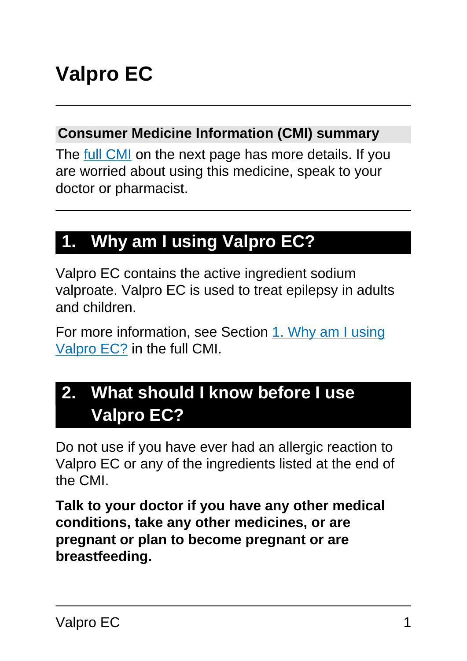# **Valpro EC**

#### **Consumer Medicine Information (CMI) summary**

The [full CMI](#page-4-0) on the next page has more details. If you are worried about using this medicine, speak to your doctor or pharmacist.

# **1. Why am I using Valpro EC?**

Valpro EC contains the active ingredient sodium valproate. Valpro EC is used to treat epilepsy in adults and children.

For more information, see Section [1. Why am I using](#page-4-1) [Valpro EC?](#page-4-1) in the full CMI.

# **2. What should I know before I use Valpro EC?**

Do not use if you have ever had an allergic reaction to Valpro EC or any of the ingredients listed at the end of the CMI.

**Talk to your doctor if you have any other medical conditions, take any other medicines, or are pregnant or plan to become pregnant or are breastfeeding.**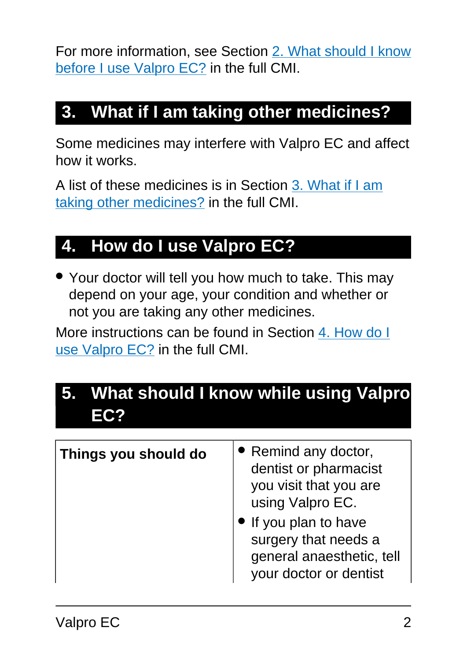For more information, see Section [2. What should I know](#page-5-0) [before I use Valpro EC?](#page-5-0) in the full CMI.

# **3. What if I am taking other medicines?**

Some medicines may interfere with Valpro EC and affect how it works.

A list of these medicines is in Section [3. What if I am](#page-8-0) [taking other medicines?](#page-8-0) in the full CMI.

# **4. How do I use Valpro EC?**

• Your doctor will tell you how much to take. This may depend on your age, your condition and whether or not you are taking any other medicines.

More instructions can be found in Section [4. How do I](#page-10-0) [use Valpro EC?](#page-10-0) in the full CMI.

# **5. What should I know while using Valpro EC?**

| Things you should do | • Remind any doctor,<br>dentist or pharmacist<br>you visit that you are<br>using Valpro EC.<br>• If you plan to have<br>surgery that needs a<br>general anaesthetic, tell<br>your doctor or dentist |
|----------------------|-----------------------------------------------------------------------------------------------------------------------------------------------------------------------------------------------------|
|----------------------|-----------------------------------------------------------------------------------------------------------------------------------------------------------------------------------------------------|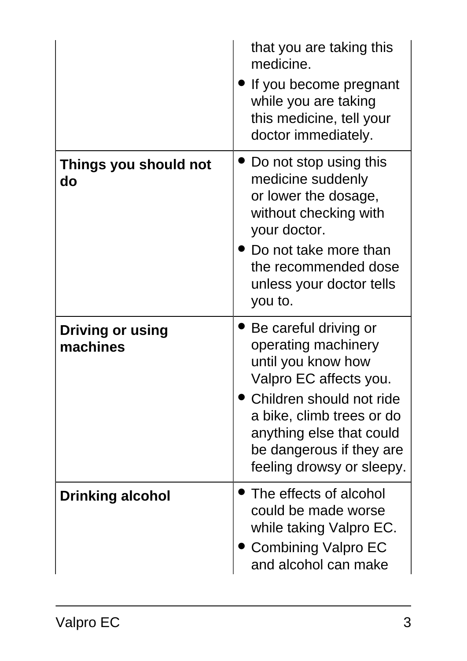|                                     | that you are taking this<br>medicine.<br>If you become pregnant<br>while you are taking<br>this medicine, tell your<br>doctor immediately.                                                                                                 |
|-------------------------------------|--------------------------------------------------------------------------------------------------------------------------------------------------------------------------------------------------------------------------------------------|
| Things you should not<br>do         | $\bullet$ Do not stop using this<br>medicine suddenly<br>or lower the dosage,<br>without checking with<br>your doctor.<br>Do not take more than<br>the recommended dose<br>unless your doctor tells<br>you to.                             |
| <b>Driving or using</b><br>machines | Be careful driving or<br>operating machinery<br>until you know how<br>Valpro EC affects you.<br>Children should not ride<br>a bike, climb trees or do<br>anything else that could<br>be dangerous if they are<br>feeling drowsy or sleepy. |
| <b>Drinking alcohol</b>             | The effects of alcohol<br>could be made worse<br>while taking Valpro EC.<br><b>Combining Valpro EC</b><br>and alcohol can make                                                                                                             |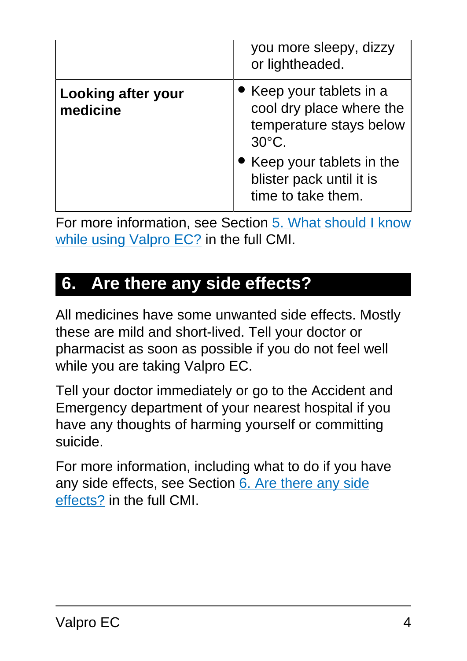|                                       | you more sleepy, dizzy<br>or lightheaded.                                                                                                                    |
|---------------------------------------|--------------------------------------------------------------------------------------------------------------------------------------------------------------|
| <b>Looking after your</b><br>medicine | • Keep your tablets in a<br>cool dry place where the<br>temperature stays below<br>$30^{\circ}$ C.<br>• Keep your tablets in the<br>blister pack until it is |
|                                       | time to take them.                                                                                                                                           |

For more information, see Section [5. What should I know](#page-13-0) [while using Valpro EC?](#page-13-0) in the full CMI.

### **6. Are there any side effects?**

All medicines have some unwanted side effects. Mostly these are mild and short-lived. Tell your doctor or pharmacist as soon as possible if you do not feel well while you are taking Valpro EC.

Tell your doctor immediately or go to the Accident and Emergency department of your nearest hospital if you have any thoughts of harming yourself or committing suicide.

For more information, including what to do if you have any side effects, see Section [6. Are there any side](#page-16-0) [effects?](#page-16-0) in the full CMI.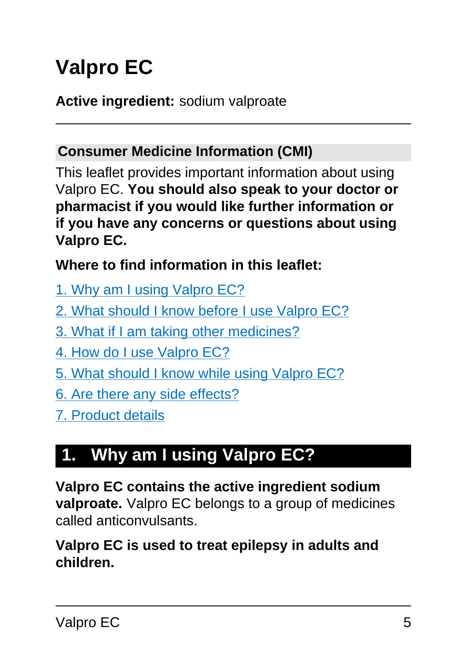# <span id="page-4-0"></span>**Valpro EC**

#### **Active ingredient:** sodium valproate

#### **Consumer Medicine Information (CMI)**

This leaflet provides important information about using Valpro EC. **You should also speak to your doctor or pharmacist if you would like further information or if you have any concerns or questions about using Valpro EC.**

#### **Where to find information in this leaflet:**

- [1. Why am I using Valpro EC?](#page-4-1)
- [2. What should I know before I use Valpro EC?](#page-5-0)
- [3. What if I am taking other medicines?](#page-8-0)
- [4. How do I use Valpro EC?](#page-10-0)
- [5. What should I know while using Valpro EC?](#page-13-0)
- [6. Are there any side effects?](#page-16-0)
- [7. Product details](#page-20-0)

# <span id="page-4-1"></span>**1. Why am I using Valpro EC?**

**Valpro EC contains the active ingredient sodium valproate.** Valpro EC belongs to a group of medicines called anticonvulsants.

#### **Valpro EC is used to treat epilepsy in adults and children.**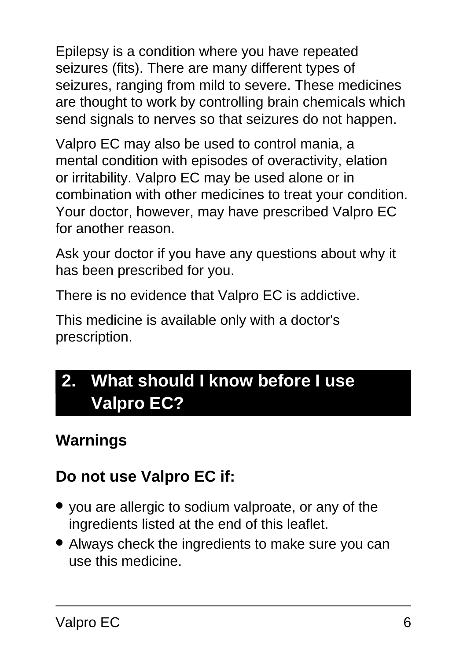Epilepsy is a condition where you have repeated seizures (fits). There are many different types of seizures, ranging from mild to severe. These medicines are thought to work by controlling brain chemicals which send signals to nerves so that seizures do not happen.

Valpro EC may also be used to control mania, a mental condition with episodes of overactivity, elation or irritability. Valpro EC may be used alone or in combination with other medicines to treat your condition. Your doctor, however, may have prescribed Valpro EC for another reason.

Ask your doctor if you have any questions about why it has been prescribed for you.

There is no evidence that Valpro EC is addictive.

This medicine is available only with a doctor's prescription.

# <span id="page-5-0"></span>**2. What should I know before I use Valpro EC?**

# **Warnings**

# **Do not use Valpro EC if:**

- you are allergic to sodium valproate, or any of the ingredients listed at the end of this leaflet.
- Always check the ingredients to make sure you can use this medicine.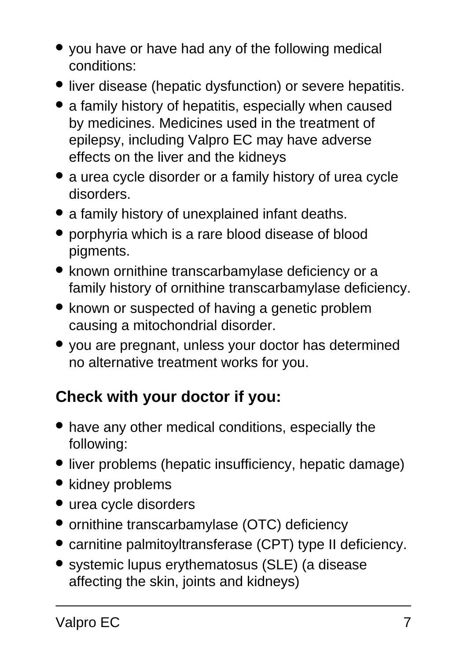- you have or have had any of the following medical conditions:
- liver disease (hepatic dysfunction) or severe hepatitis.
- a family history of hepatitis, especially when caused by medicines. Medicines used in the treatment of epilepsy, including Valpro EC may have adverse effects on the liver and the kidneys
- a urea cycle disorder or a family history of urea cycle disorders.
- a family history of unexplained infant deaths.
- porphyria which is a rare blood disease of blood pigments.
- known ornithine transcarbamylase deficiency or a family history of ornithine transcarbamylase deficiency.
- known or suspected of having a genetic problem causing a mitochondrial disorder.
- you are pregnant, unless your doctor has determined no alternative treatment works for you.

# **Check with your doctor if you:**

- have any other medical conditions, especially the following:
- liver problems (hepatic insufficiency, hepatic damage)
- kidney problems
- urea cycle disorders
- ornithine transcarbamylase (OTC) deficiency
- carnitine palmitoyltransferase (CPT) type II deficiency.
- systemic lupus erythematosus (SLE) (a disease affecting the skin, joints and kidneys)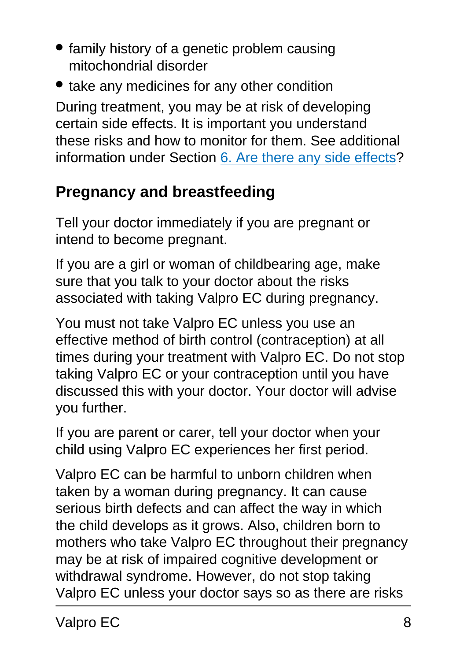- family history of a genetic problem causing mitochondrial disorder
- take any medicines for any other condition

During treatment, you may be at risk of developing certain side effects. It is important you understand these risks and how to monitor for them. See additional information under Section [6. Are there any side effects](#page-16-0)?

# **Pregnancy and breastfeeding**

Tell your doctor immediately if you are pregnant or intend to become pregnant.

If you are a girl or woman of childbearing age, make sure that you talk to your doctor about the risks associated with taking Valpro EC during pregnancy.

You must not take Valpro EC unless you use an effective method of birth control (contraception) at all times during your treatment with Valpro EC. Do not stop taking Valpro EC or your contraception until you have discussed this with your doctor. Your doctor will advise you further.

If you are parent or carer, tell your doctor when your child using Valpro EC experiences her first period.

Valpro EC can be harmful to unborn children when taken by a woman during pregnancy. It can cause serious birth defects and can affect the way in which the child develops as it grows. Also, children born to mothers who take Valpro EC throughout their pregnancy may be at risk of impaired cognitive development or withdrawal syndrome. However, do not stop taking Valpro EC unless your doctor says so as there are risks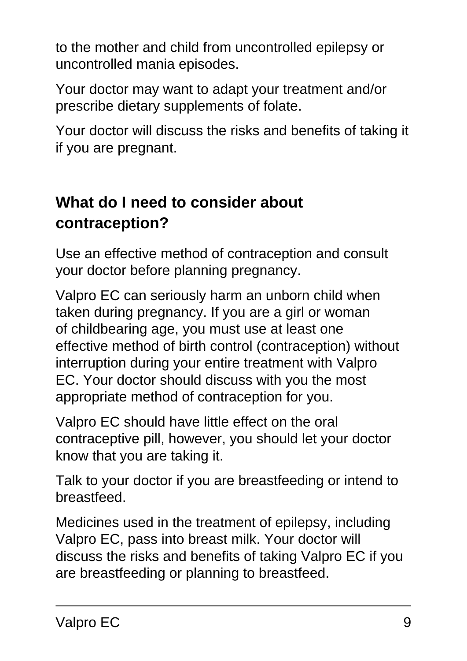to the mother and child from uncontrolled epilepsy or uncontrolled mania episodes.

Your doctor may want to adapt your treatment and/or prescribe dietary supplements of folate.

Your doctor will discuss the risks and benefits of taking it if you are pregnant.

# **What do I need to consider about contraception?**

Use an effective method of contraception and consult your doctor before planning pregnancy.

Valpro EC can seriously harm an unborn child when taken during pregnancy. If you are a girl or woman of childbearing age, you must use at least one effective method of birth control (contraception) without interruption during your entire treatment with Valpro EC. Your doctor should discuss with you the most appropriate method of contraception for you.

Valpro EC should have little effect on the oral contraceptive pill, however, you should let your doctor know that you are taking it.

Talk to your doctor if you are breastfeeding or intend to breastfeed.

<span id="page-8-0"></span>Medicines used in the treatment of epilepsy, including Valpro EC, pass into breast milk. Your doctor will discuss the risks and benefits of taking Valpro EC if you are breastfeeding or planning to breastfeed.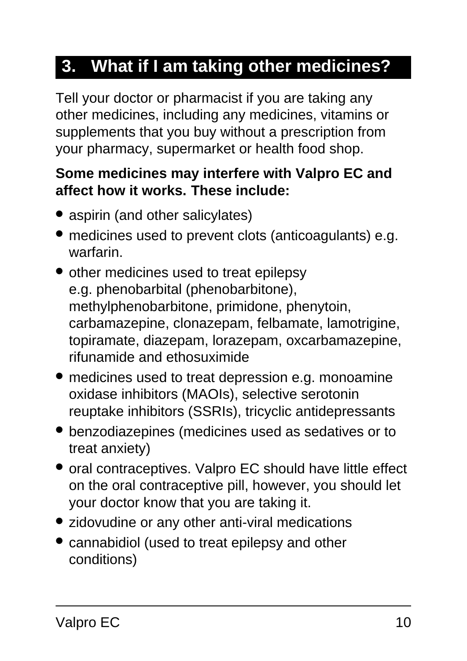# **3. What if I am taking other medicines?**

Tell your doctor or pharmacist if you are taking any other medicines, including any medicines, vitamins or supplements that you buy without a prescription from your pharmacy, supermarket or health food shop.

#### **Some medicines may interfere with Valpro EC and affect how it works. These include:**

- aspirin (and other salicylates)
- medicines used to prevent clots (anticoagulants) e.g. warfarin.
- other medicines used to treat epilepsy e.g. phenobarbital (phenobarbitone), methylphenobarbitone, primidone, phenytoin, carbamazepine, clonazepam, felbamate, lamotrigine, topiramate, diazepam, lorazepam, oxcarbamazepine, rifunamide and ethosuximide
- medicines used to treat depression e.g. monoamine oxidase inhibitors (MAOIs), selective serotonin reuptake inhibitors (SSRIs), tricyclic antidepressants
- benzodiazepines (medicines used as sedatives or to treat anxiety)
- oral contraceptives. Valpro EC should have little effect on the oral contraceptive pill, however, you should let your doctor know that you are taking it.
- zidovudine or any other anti-viral medications
- cannabidiol (used to treat epilepsy and other conditions)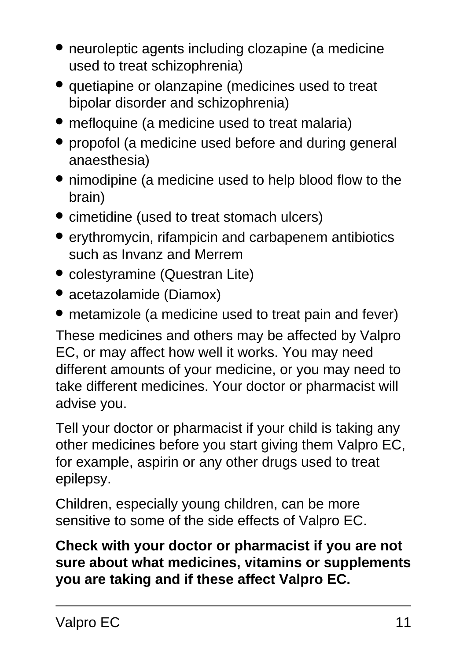- neuroleptic agents including clozapine (a medicine used to treat schizophrenia)
- quetiapine or olanzapine (medicines used to treat bipolar disorder and schizophrenia)
- mefloquine (a medicine used to treat malaria)
- propofol (a medicine used before and during general anaesthesia)
- nimodipine (a medicine used to help blood flow to the brain)
- cimetidine (used to treat stomach ulcers)
- erythromycin, rifampicin and carbapenem antibiotics such as Invanz and Merrem
- colestyramine (Questran Lite)
- acetazolamide (Diamox)
- metamizole (a medicine used to treat pain and fever)

These medicines and others may be affected by Valpro EC, or may affect how well it works. You may need different amounts of your medicine, or you may need to take different medicines. Your doctor or pharmacist will advise you.

Tell your doctor or pharmacist if your child is taking any other medicines before you start giving them Valpro EC, for example, aspirin or any other drugs used to treat epilepsy.

Children, especially young children, can be more sensitive to some of the side effects of Valpro EC.

<span id="page-10-0"></span>**Check with your doctor or pharmacist if you are not sure about what medicines, vitamins or supplements you are taking and if these affect Valpro EC.**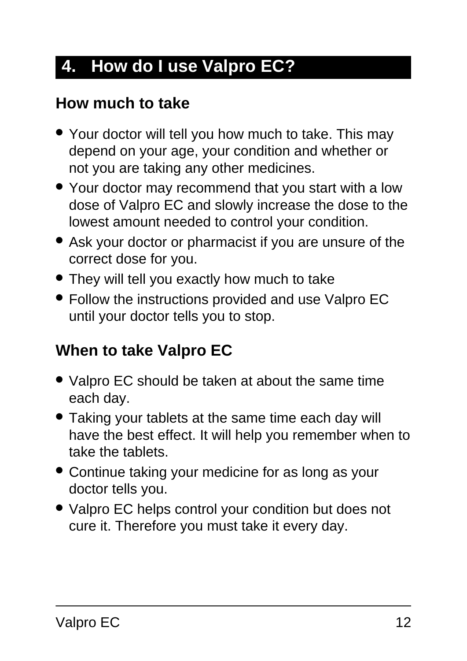# **4. How do I use Valpro EC?**

### **How much to take**

- Your doctor will tell you how much to take. This may depend on your age, your condition and whether or not you are taking any other medicines.
- Your doctor may recommend that you start with a low dose of Valpro EC and slowly increase the dose to the lowest amount needed to control your condition.
- Ask your doctor or pharmacist if you are unsure of the correct dose for you.
- They will tell you exactly how much to take
- Follow the instructions provided and use Valpro EC until your doctor tells you to stop.

### **When to take Valpro EC**

- Valpro EC should be taken at about the same time each day.
- Taking your tablets at the same time each day will have the best effect. It will help you remember when to take the tablets.
- Continue taking your medicine for as long as your doctor tells you.
- Valpro EC helps control your condition but does not cure it. Therefore you must take it every day.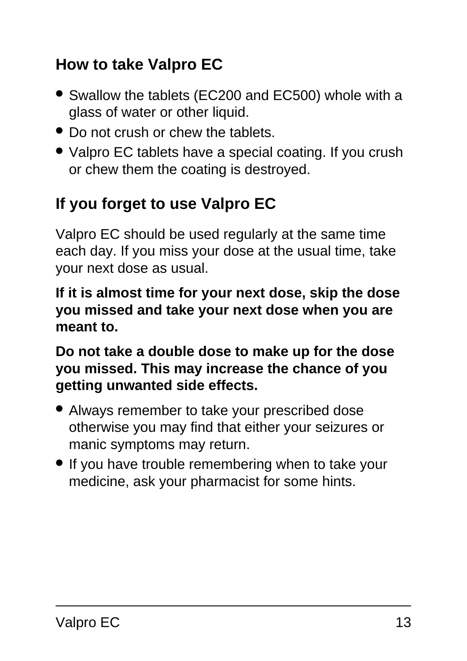# **How to take Valpro EC**

- Swallow the tablets (EC200 and EC500) whole with a glass of water or other liquid.
- Do not crush or chew the tablets.
- Valpro EC tablets have a special coating. If you crush or chew them the coating is destroyed.

# **If you forget to use Valpro EC**

Valpro EC should be used regularly at the same time each day. If you miss your dose at the usual time, take your next dose as usual.

**If it is almost time for your next dose, skip the dose you missed and take your next dose when you are meant to.**

**Do not take a double dose to make up for the dose you missed. This may increase the chance of you getting unwanted side effects.**

- Always remember to take your prescribed dose otherwise you may find that either your seizures or manic symptoms may return.
- If you have trouble remembering when to take your medicine, ask your pharmacist for some hints.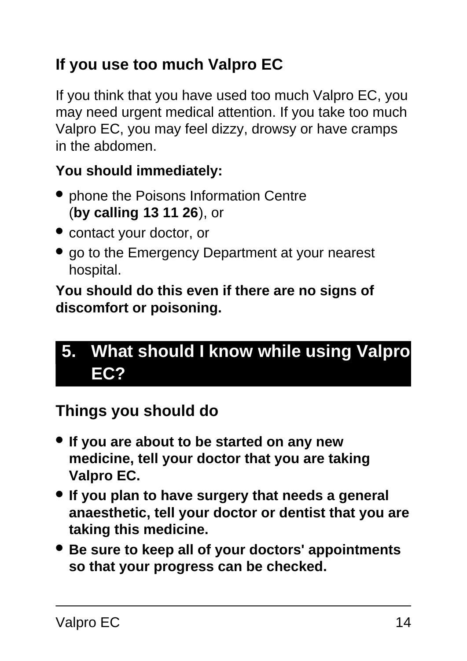# **If you use too much Valpro EC**

If you think that you have used too much Valpro EC, you may need urgent medical attention. If you take too much Valpro EC, you may feel dizzy, drowsy or have cramps in the abdomen.

#### **You should immediately:**

- phone the Poisons Information Centre (**by calling 13 11 26**), or
- contact your doctor, or
- go to the Emergency Department at your nearest hospital.

**You should do this even if there are no signs of discomfort or poisoning.**

# <span id="page-13-0"></span>**5. What should I know while using Valpro EC?**

#### **Things you should do**

- **If you are about to be started on any new medicine, tell your doctor that you are taking Valpro EC.**
- **If you plan to have surgery that needs a general anaesthetic, tell your doctor or dentist that you are taking this medicine.**
- **Be sure to keep all of your doctors' appointments so that your progress can be checked.**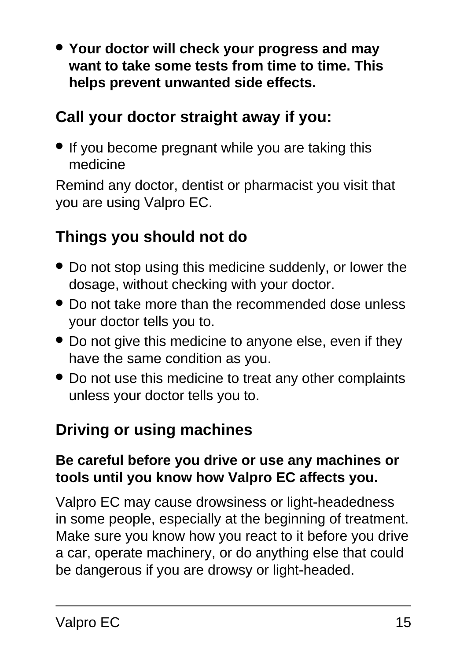● **Your doctor will check your progress and may want to take some tests from time to time. This helps prevent unwanted side effects.**

### **Call your doctor straight away if you:**

• If you become pregnant while you are taking this medicine

Remind any doctor, dentist or pharmacist you visit that you are using Valpro EC.

#### **Things you should not do**

- Do not stop using this medicine suddenly, or lower the dosage, without checking with your doctor.
- Do not take more than the recommended dose unless your doctor tells you to.
- Do not give this medicine to anyone else, even if they have the same condition as you.
- Do not use this medicine to treat any other complaints unless your doctor tells you to.

### **Driving or using machines**

#### **Be careful before you drive or use any machines or tools until you know how Valpro EC affects you.**

Valpro EC may cause drowsiness or light-headedness in some people, especially at the beginning of treatment. Make sure you know how you react to it before you drive a car, operate machinery, or do anything else that could be dangerous if you are drowsy or light-headed.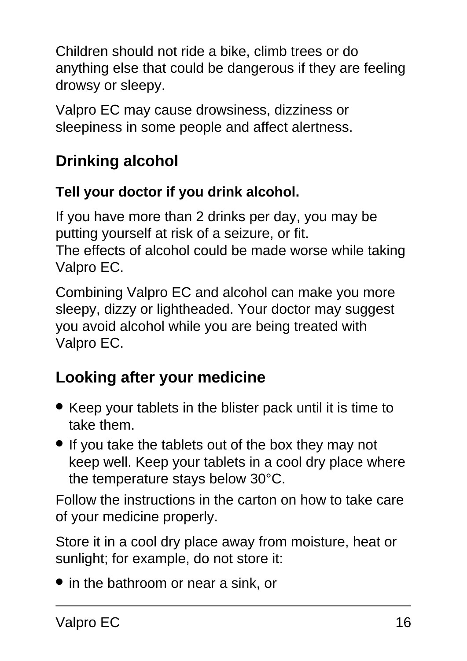Children should not ride a bike, climb trees or do anything else that could be dangerous if they are feeling drowsy or sleepy.

Valpro EC may cause drowsiness, dizziness or sleepiness in some people and affect alertness.

# **Drinking alcohol**

#### **Tell your doctor if you drink alcohol.**

If you have more than 2 drinks per day, you may be putting yourself at risk of a seizure, or fit. The effects of alcohol could be made worse while taking Valpro EC.

Combining Valpro EC and alcohol can make you more sleepy, dizzy or lightheaded. Your doctor may suggest you avoid alcohol while you are being treated with Valpro EC.

# **Looking after your medicine**

- Keep your tablets in the blister pack until it is time to take them.
- If you take the tablets out of the box they may not keep well. Keep your tablets in a cool dry place where the temperature stays below 30°C.

Follow the instructions in the carton on how to take care of your medicine properly.

Store it in a cool dry place away from moisture, heat or sunlight; for example, do not store it:

• in the bathroom or near a sink, or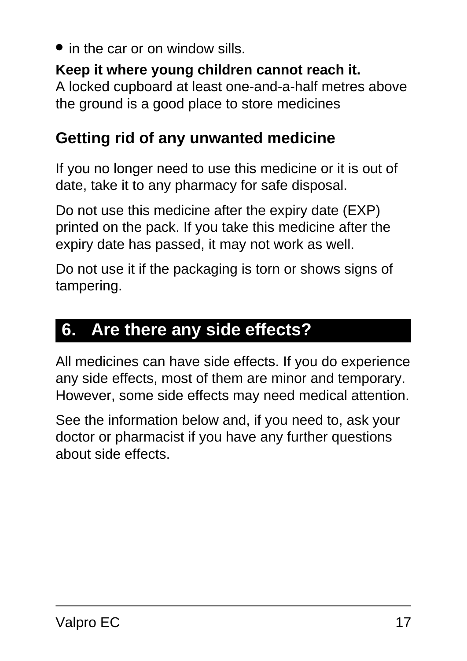in the car or on window sills.

#### **Keep it where young children cannot reach it.**

A locked cupboard at least one-and-a-half metres above the ground is a good place to store medicines

### **Getting rid of any unwanted medicine**

If you no longer need to use this medicine or it is out of date, take it to any pharmacy for safe disposal.

Do not use this medicine after the expiry date (EXP) printed on the pack. If you take this medicine after the expiry date has passed, it may not work as well.

Do not use it if the packaging is torn or shows signs of tampering.

# <span id="page-16-0"></span>**6. Are there any side effects?**

All medicines can have side effects. If you do experience any side effects, most of them are minor and temporary. However, some side effects may need medical attention.

See the information below and, if you need to, ask your doctor or pharmacist if you have any further questions about side effects.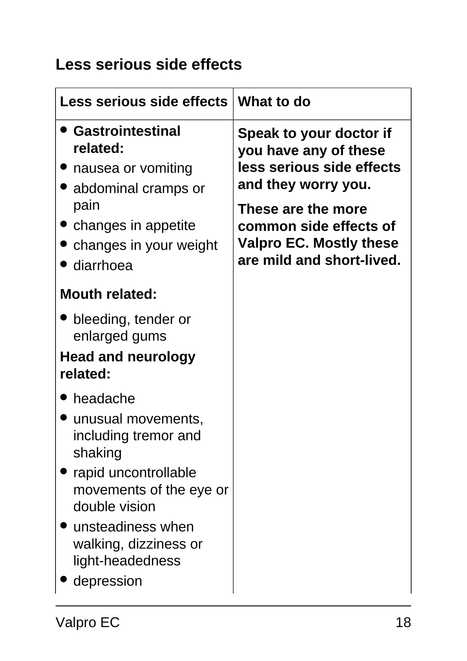## **Less serious side effects**

| <b>Less serious side effects</b>                                                                                                                                                                                      | What to do                                                                                                                                                                                                          |
|-----------------------------------------------------------------------------------------------------------------------------------------------------------------------------------------------------------------------|---------------------------------------------------------------------------------------------------------------------------------------------------------------------------------------------------------------------|
| <b>Gastrointestinal</b><br>related:<br>• nausea or vomiting<br>• abdominal cramps or<br>pain<br>• changes in appetite<br>changes in your weight<br>• diarrhoea                                                        | Speak to your doctor if<br>you have any of these<br>less serious side effects<br>and they worry you.<br>These are the more<br>common side effects of<br><b>Valpro EC. Mostly these</b><br>are mild and short-lived. |
| <b>Mouth related:</b>                                                                                                                                                                                                 |                                                                                                                                                                                                                     |
| bleeding, tender or<br>enlarged gums<br><b>Head and neurology</b><br>related:                                                                                                                                         |                                                                                                                                                                                                                     |
| headache<br>unusual movements,<br>including tremor and<br>shaking<br>rapid uncontrollable<br>movements of the eye or<br>double vision<br>unsteadiness when<br>walking, dizziness or<br>light-headedness<br>depression |                                                                                                                                                                                                                     |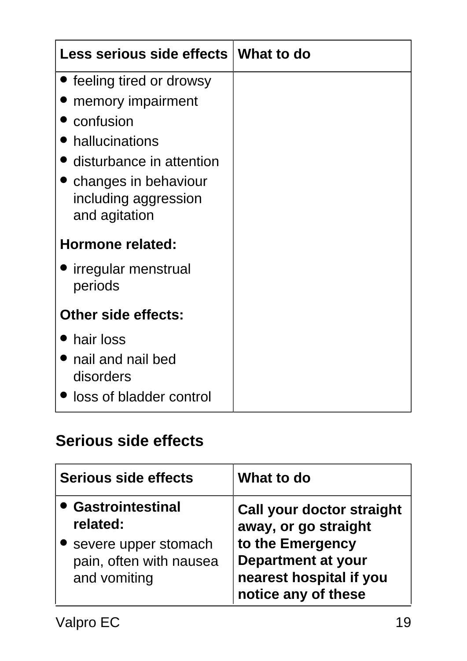| Less serious side effects                                               | What to do |
|-------------------------------------------------------------------------|------------|
| • feeling tired or drowsy                                               |            |
| memory impairment                                                       |            |
| confusion                                                               |            |
| hallucinations                                                          |            |
| disturbance in attention                                                |            |
| $\bullet$ changes in behaviour<br>including aggression<br>and agitation |            |
| Hormone related:                                                        |            |
| • irregular menstrual<br>periods                                        |            |
| <b>Other side effects:</b>                                              |            |
| hair loss                                                               |            |
| nail and nail bed<br>disorders                                          |            |
| loss of bladder control                                                 |            |

## **Serious side effects**

| <b>Serious side effects</b>                                                                       | What to do                                                                                                                                                  |
|---------------------------------------------------------------------------------------------------|-------------------------------------------------------------------------------------------------------------------------------------------------------------|
| • Gastrointestinal<br>related:<br>severe upper stomach<br>pain, often with nausea<br>and vomiting | <b>Call your doctor straight</b><br>away, or go straight<br>to the Emergency<br><b>Department at your</b><br>nearest hospital if you<br>notice any of these |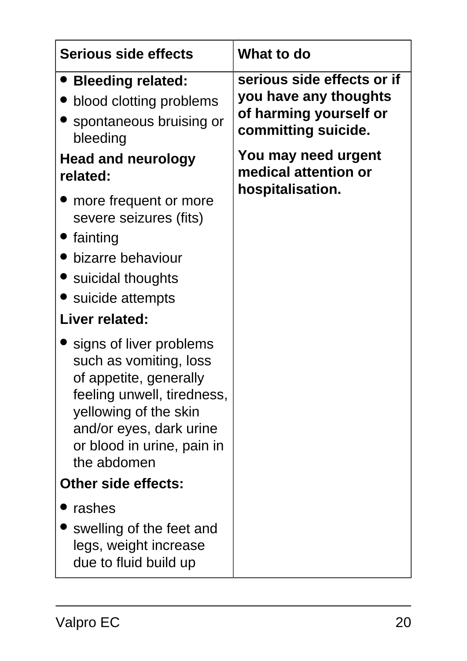| <b>Serious side effects</b>                                                                                                                                                                                | What to do                                                                                                                                                              |
|------------------------------------------------------------------------------------------------------------------------------------------------------------------------------------------------------------|-------------------------------------------------------------------------------------------------------------------------------------------------------------------------|
| • Bleeding related:<br>blood clotting problems<br>spontaneous bruising or<br>bleeding<br><b>Head and neurology</b><br>related:<br>more frequent or more                                                    | serious side effects or if<br>you have any thoughts<br>of harming yourself or<br>committing suicide.<br>You may need urgent<br>medical attention or<br>hospitalisation. |
| severe seizures (fits)<br><b>Cainting</b><br>bizarre behaviour<br>• suicidal thoughts<br>• suicide attempts<br>Liver related:                                                                              |                                                                                                                                                                         |
| signs of liver problems<br>such as vomiting, loss<br>of appetite, generally<br>feeling unwell, tiredness,<br>yellowing of the skin<br>and/or eyes, dark urine<br>or blood in urine, pain in<br>the abdomen |                                                                                                                                                                         |
| <b>Other side effects:</b>                                                                                                                                                                                 |                                                                                                                                                                         |
| rashes<br>swelling of the feet and<br>legs, weight increase<br>due to fluid build up                                                                                                                       |                                                                                                                                                                         |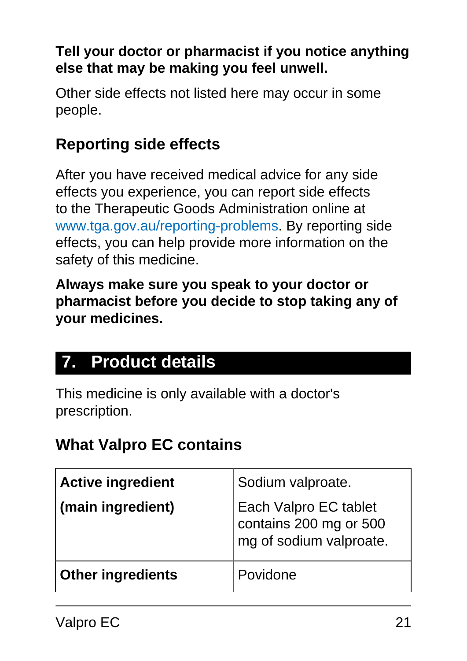#### **Tell your doctor or pharmacist if you notice anything else that may be making you feel unwell.**

Other side effects not listed here may occur in some people.

# **Reporting side effects**

After you have received medical advice for any side effects you experience, you can report side effects to the Therapeutic Goods Administration online at [www.tga.gov.au/reporting-problems.](http://www.tga.gov.au/reporting-problems) By reporting side effects, you can help provide more information on the safety of this medicine.

**Always make sure you speak to your doctor or pharmacist before you decide to stop taking any of your medicines.**

# <span id="page-20-0"></span>**7. Product details**

This medicine is only available with a doctor's prescription.

### **What Valpro EC contains**

| <b>Active ingredient</b><br>(main ingredient) | Sodium valproate.<br>Each Valpro EC tablet<br>contains 200 mg or 500<br>mg of sodium valproate. |
|-----------------------------------------------|-------------------------------------------------------------------------------------------------|
| <b>Other ingredients</b>                      | Povidone                                                                                        |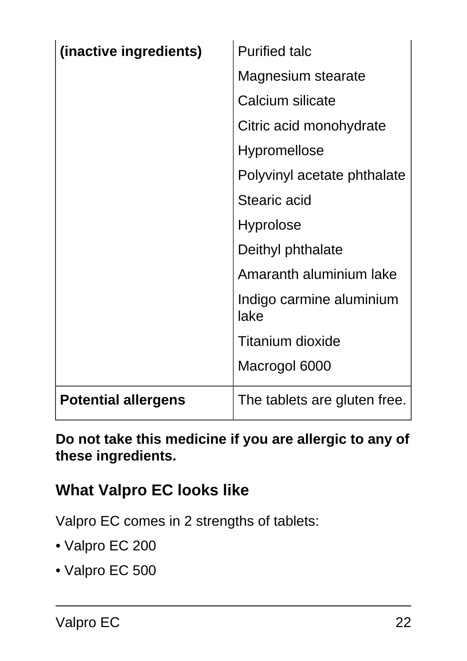| (inactive ingredients)     | <b>Purified talc</b>             |
|----------------------------|----------------------------------|
|                            | Magnesium stearate               |
|                            | Calcium silicate                 |
|                            | Citric acid monohydrate          |
|                            | <b>Hypromellose</b>              |
|                            | Polyvinyl acetate phthalate      |
|                            | Stearic acid                     |
|                            | <b>Hyprolose</b>                 |
|                            | Deithyl phthalate                |
|                            | Amaranth aluminium lake          |
|                            | Indigo carmine aluminium<br>lake |
|                            | <b>Titanium dioxide</b>          |
|                            | Macrogol 6000                    |
| <b>Potential allergens</b> | The tablets are gluten free.     |

**Do not take this medicine if you are allergic to any of these ingredients.**

### **What Valpro EC looks like**

Valpro EC comes in 2 strengths of tablets:

- Valpro EC 200
- Valpro EC 500